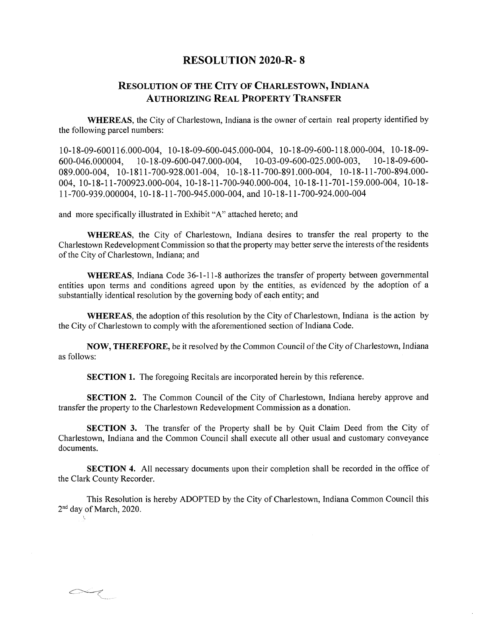## **RESOLUTION 2020-R- 8**

## **Resolution of the City of Charlestown, Indiana Authorizing Real Property Transfer**

**WHEREAS,** the City of Charlestown, Indiana is the owner of certain real property identified by the following parcel numbers:

10-18-09-600116.000-004, 10-18-09-600-045.000-004, 10-18-09-600-118.000-004, 10-18-09 600-046.000004, 10-18-09-600-047.000-004, 10-03-09-600-025.000-003, 10-18-09-600 089.000-004, 10-1811-700-928.001-004, 10-18-11-700-891.000-004, 10-18-11-700-894.000 004, 10-18-11-700923.000-004, 10-18-11-700-940.000-004, 10-18-11-701-159.000-004, 10-18 11-700-939.000004, 10-18-11-700-945.000-004, and 10-18-11-700-924.000-004

and more specifically illustrated in Exhibit "A" attached hereto; and

 $\sim$ 

**WHEREAS,** the City of Charlestown, Indiana desires to transfer the real property to the Charlestown Redevelopment Commission so that the property may better serve the interests of the residents of the City of Charlestown, Indiana; and

**WHEREAS,** Indiana Code 36-1-11-8 authorizes the transfer of property between governmental entities upon terms and conditions agreed upon by the entities, as evidenced by the adoption of a substantially identical resolution by the governing body of each entity; and

**WHEREAS**, the adoption of this resolution by the City of Charlestown, Indiana is the action by the City of Charlestown to comply with the aforementioned section of Indiana Code.

**NOW, THEREFORE,** be it resolved by the Common Council of the City of Charlestown, Indiana as follows:

**SECTION 1.** The foregoing Recitals are incorporated herein by this reference.

**SECTION 2.** The Common Council of the City of Charlestown, Indiana hereby approve and transfer the property to the Charlestown Redevelopment Commission as a donation.

**SECTION 3.** The transfer of the Property shall be by Quit Claim Deed from the City of Charlestown, Indiana and the Common Council shall execute all other usual and customary conveyance documents.

**SECTION 4.** All necessary documents upon their completion shall be recorded in the office of the Clark County Recorder.

This Resolution is hereby ADOPTED by the City of Charlestown, Indiana Common Council this  $2<sup>nd</sup>$  day of March, 2020.